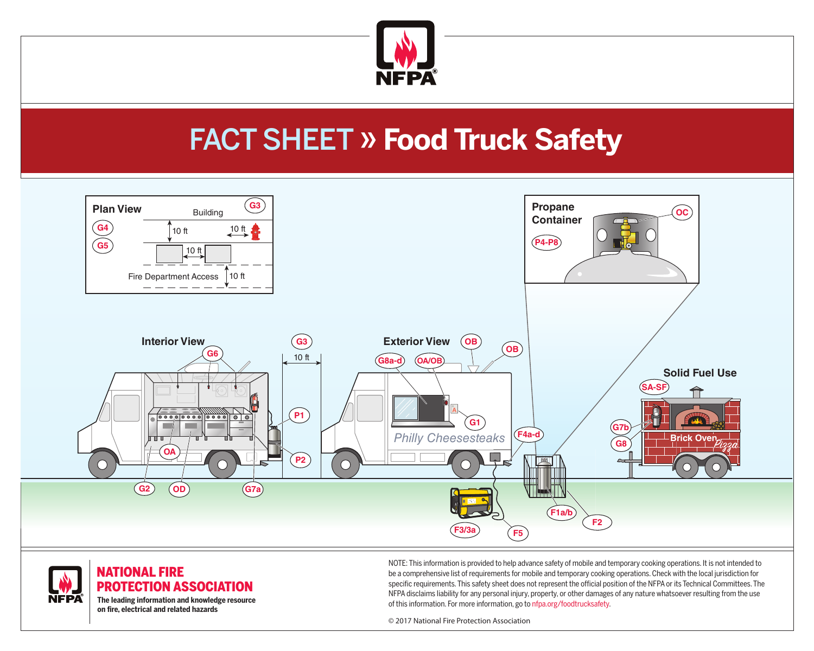

# FACT SHEET » **Food Truck Safety**





**The leading information and knowledge resource on fire, electrical and related hazards** 

NOTE: This information is provided to help advance safety of mobile and temporary cooking operations. It is not intended to be a comprehensive list of requirements for mobile and temporary cooking operations. Check with the local jurisdiction for specific requirements. This safety sheet does not represent the official position of the NFPA or its Technical Committees. The NFPA disclaims liability for any personal injury, property, or other damages of any nature whatsoever resulting from the use of this information. For more information, go to nfpa.org/foodtrucksafety.

© 2017 National Fire Protection Association